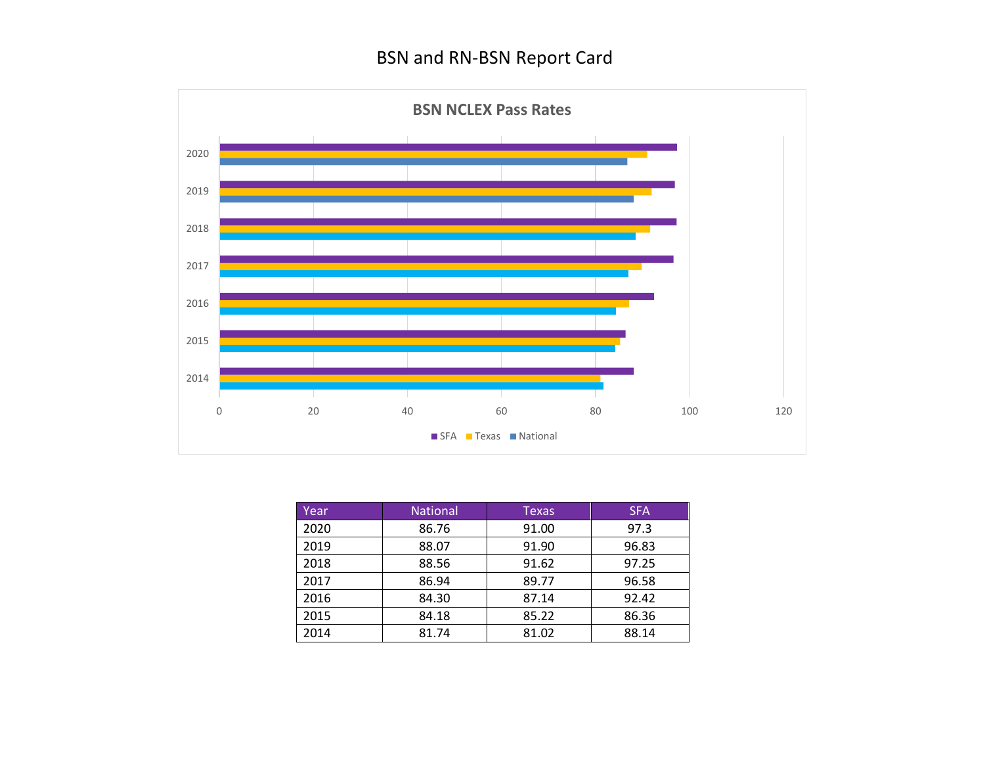

| Year, | <b>National</b> | <b>Texas</b> | <b>SFA</b> |
|-------|-----------------|--------------|------------|
| 2020  | 86.76           | 91.00        | 97.3       |
| 2019  | 88.07           | 91.90        | 96.83      |
| 2018  | 88.56           | 91.62        | 97.25      |
| 2017  | 86.94           | 89.77        | 96.58      |
| 2016  | 84.30           | 87.14        | 92.42      |
| 2015  | 84.18           | 85.22        | 86.36      |
| 2014  | 81.74           | 81.02        | 88.14      |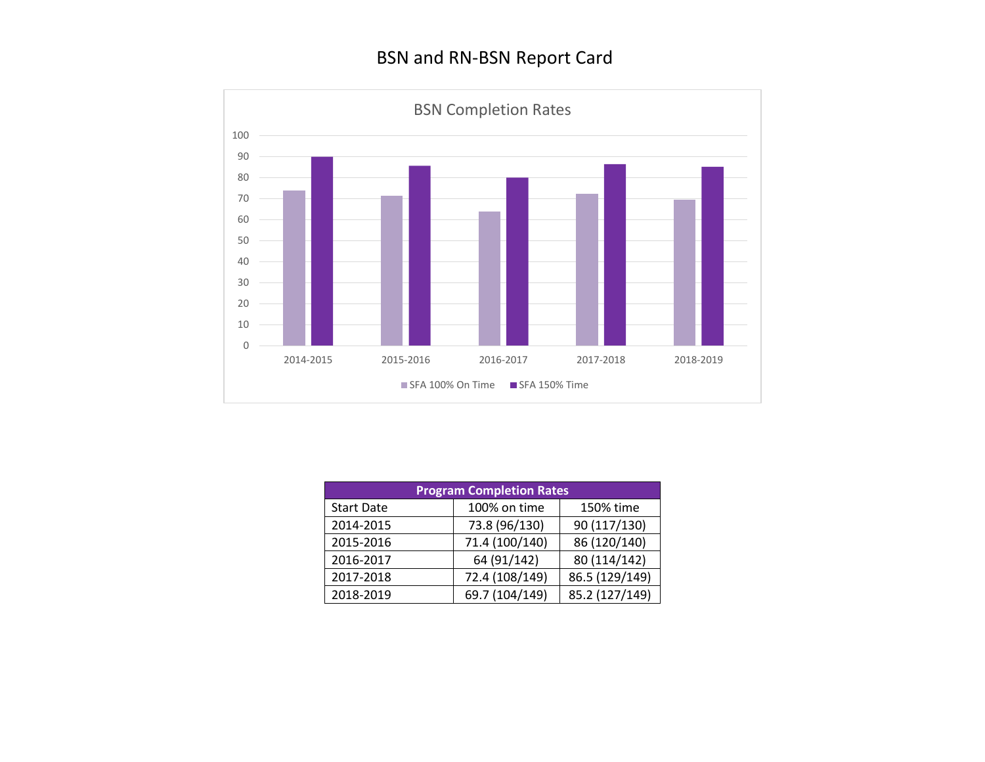

| <b>Program Completion Rates</b> |                |                |  |  |
|---------------------------------|----------------|----------------|--|--|
| <b>Start Date</b>               | 100% on time   | 150% time      |  |  |
| 2014-2015                       | 73.8 (96/130)  | 90 (117/130)   |  |  |
| 2015-2016                       | 71.4 (100/140) | 86 (120/140)   |  |  |
| 2016-2017                       | 64 (91/142)    | 80 (114/142)   |  |  |
| 2017-2018                       | 72.4 (108/149) | 86.5 (129/149) |  |  |
| 2018-2019                       | 69.7 (104/149) | 85.2 (127/149) |  |  |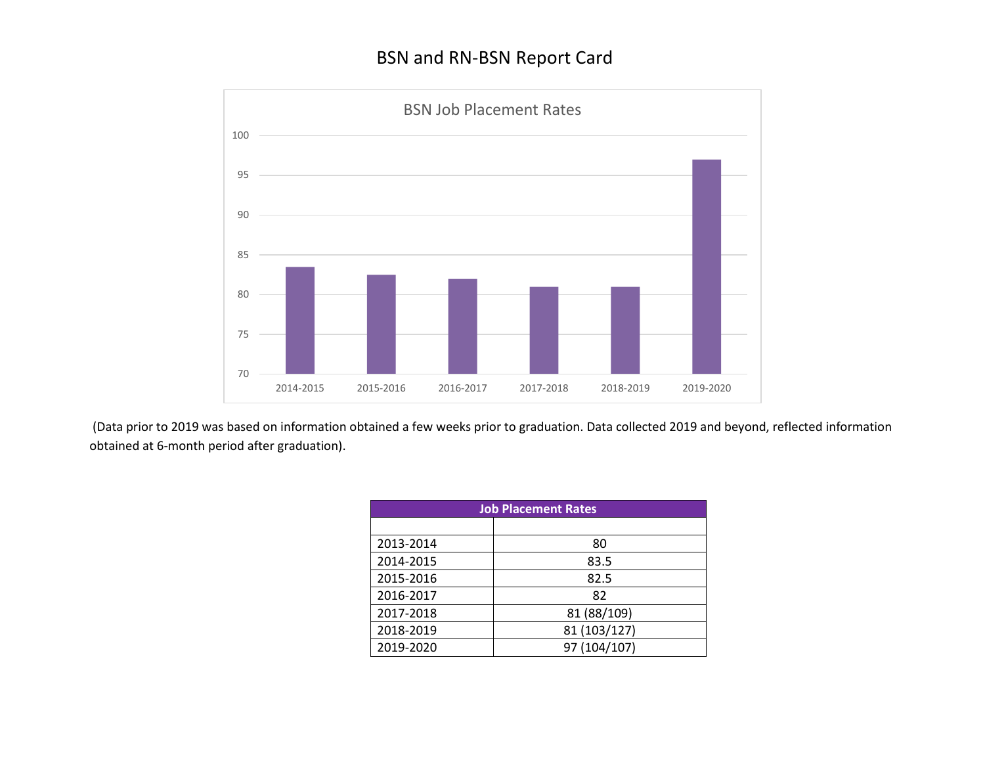

(Data prior to 2019 was based on information obtained a few weeks prior to graduation. Data collected 2019 and beyond, reflected information obtained at 6-month period after graduation).

| <b>Job Placement Rates</b> |              |  |
|----------------------------|--------------|--|
|                            |              |  |
| 2013-2014                  | 80           |  |
| 2014-2015                  | 83.5         |  |
| 2015-2016                  | 82.5         |  |
| 2016-2017                  | 82           |  |
| 2017-2018                  | 81 (88/109)  |  |
| 2018-2019                  | 81 (103/127) |  |
| 2019-2020                  | 97 (104/107) |  |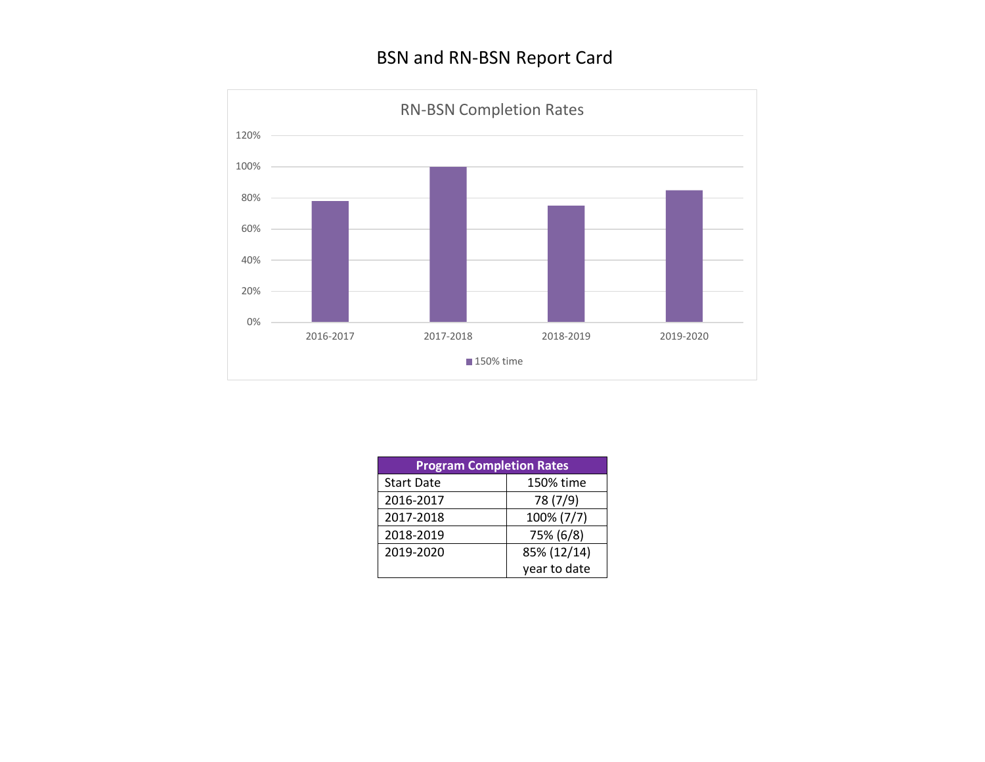

| <b>Program Completion Rates</b> |              |  |
|---------------------------------|--------------|--|
| <b>Start Date</b>               | 150% time    |  |
| 2016-2017                       | 78 (7/9)     |  |
| 2017-2018                       | 100% (7/7)   |  |
| 2018-2019                       | 75% (6/8)    |  |
| 2019-2020                       | 85% (12/14)  |  |
|                                 | year to date |  |